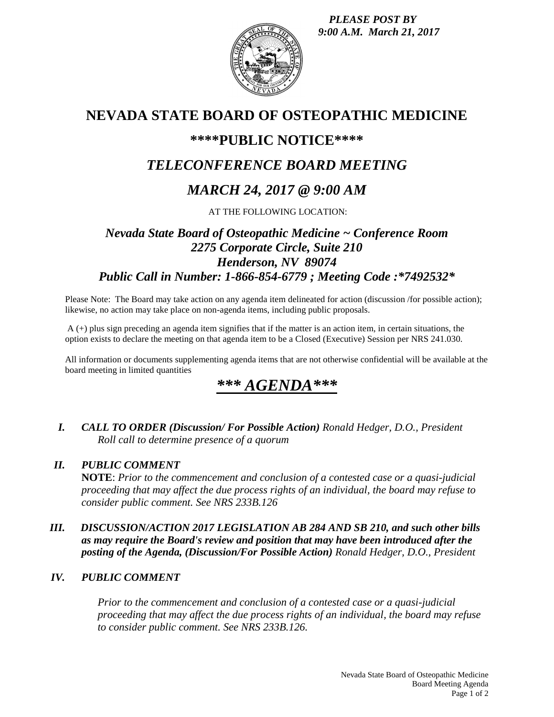*PLEASE POST BY 9:00 A.M. March 21, 2017*



# **NEVADA STATE BOARD OF OSTEOPATHIC MEDICINE**

### **\*\*\*\*PUBLIC NOTICE\*\*\*\***

# *TELECONFERENCE BOARD MEETING*

# *MARCH 24, 2017 @ 9:00 AM*

AT THE FOLLOWING LOCATION:

### *Nevada State Board of Osteopathic Medicine ~ Conference Room 2275 Corporate Circle, Suite 210 Henderson, NV 89074 Public Call in Number: 1-866-854-6779 ; Meeting Code :\*7492532\**

Please Note: The Board may take action on any agenda item delineated for action (discussion /for possible action); likewise, no action may take place on non-agenda items, including public proposals.

A (+) plus sign preceding an agenda item signifies that if the matter is an action item, in certain situations, the option exists to declare the meeting on that agenda item to be a Closed (Executive) Session per NRS 241.030.

All information or documents supplementing agenda items that are not otherwise confidential will be available at the board meeting in limited quantities

### *\*\*\* AGENDA\*\*\**

*I. CALL TO ORDER (Discussion/ For Possible Action) Ronald Hedger, D.O., President Roll call to determine presence of a quorum*

#### *II. PUBLIC COMMENT*

**NOTE**: *Prior to the commencement and conclusion of a contested case or a quasi-judicial proceeding that may affect the due process rights of an individual, the board may refuse to consider public comment. See NRS 233B.126*

#### *III. DISCUSSION/ACTION 2017 LEGISLATION AB 284 AND SB 210, and such other bills as may require the Board's review and position that may have been introduced after the posting of the Agenda, (Discussion/For Possible Action) Ronald Hedger, D.O., President*

### *IV. PUBLIC COMMENT*

*Prior to the commencement and conclusion of a contested case or a quasi-judicial proceeding that may affect the due process rights of an individual, the board may refuse to consider public comment. See NRS 233B.126.*